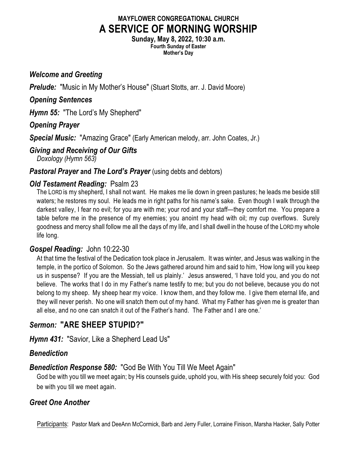# **MAYFLOWER CONGREGATIONAL CHURCH A SERVICE OF MORNING WORSHIP**

**Sunday, May 8, 2022, 10:30 a.m. Fourth Sunday of Easter Mother's Day**

#### *Welcome and Greeting*

*Prelude:* "Music in My Mother's House" (Stuart Stotts, arr. J. David Moore)

#### *Opening Sentences*

*Hymn 55:* "The Lord's My Shepherd"

#### *Opening Prayer*

*Special Music:* "Amazing Grace" (Early American melody, arr. John Coates, Jr.)

# *Giving and Receiving of Our Gifts*

*Doxology (Hymn 563)*

**Pastoral Prayer and The Lord's Prayer** (using debts and debtors)

# *Old Testament Reading:* Psalm 23

The LORD is my shepherd, I shall not want. He makes me lie down in green pastures; he leads me beside still waters; he restores my soul. He leads me in right paths for his name's sake. Even though I walk through the darkest valley, I fear no evil; for you are with me; your rod and your staff—they comfort me. You prepare a table before me in the presence of my enemies; you anoint my head with oil; my cup overflows. Surely goodness and mercy shall follow me all the days of my life, and I shall dwell in the house of the LORD my whole life long.

# *Gospel Reading:* John 10:22-30

At that time the festival of the Dedication took place in Jerusalem. It was winter, and Jesus was walking in the temple, in the portico of Solomon. So the Jews gathered around him and said to him, 'How long will you keep us in suspense? If you are the Messiah, tell us plainly.' Jesus answered, 'I have told you, and you do not believe. The works that I do in my Father's name testify to me; but you do not believe, because you do not belong to my sheep. My sheep hear my voice. I know them, and they follow me. I give them eternal life, and they will never perish. No one will snatch them out of my hand. What my Father has given me is greater than all else, and no one can snatch it out of the Father's hand. The Father and I are one.'

# *Sermon:* **"ARE SHEEP STUPID?"**

*Hymn 431:* "Savior, Like a Shepherd Lead Us"

# *Benediction*

# *Benediction Response 580:* "God Be With You Till We Meet Again"

God be with you till we meet again; by His counsels guide, uphold you, with His sheep securely fold you: God be with you till we meet again.

# *Greet One Another*

Participants: Pastor Mark and DeeAnn McCormick, Barb and Jerry Fuller, Lorraine Finison, Marsha Hacker, Sally Potter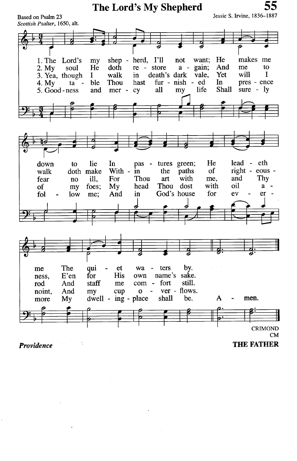

**Providence** 

**THE FATHER**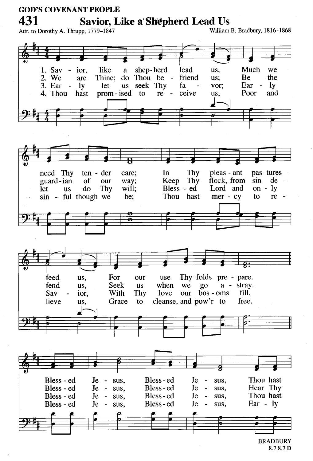**GOD'S COVENANT PEOPLE** 431 Savior, Like a' Shepherd Lead Us Attr. to Dorothy A. Thrupp, 1779-1847 William B. Bradbury, 1816-1868 lead Much like a shep-herd we 1. Sav  $\overline{a}$ ior. us. Thine; do Thou be the 2. We friend **Be** are us; us seek Thy Ear - $\mathbf{I}$ 3. Ear  $\overline{a}$  $\mathbf{I}$ let fa vor: 4. Thou prom-ised to  $re$ ceive Poor and hast us. Thy pleas - ant need Thy ten - der care; In pas-tures flock. from guard-ian  $of$ our Keep Thy  $sin$  $de$ way; **Let** will:  $Bless - ed$ Lord and on -  $l$ **us** do Thy sin - ful though we be: Thou hast  $mer - cy$ to re -Thy folds pre - pare. feed us, For our use fend us, Seek **us** when we  $g_{0}$  $a -$ stray. bos - oms With Thy love our fill. Sav ior, lieve Grace to cleanse, and pow'r to free. us, Thou hast Bless-ed Bless - ed  $Je$ sus. Je sus.  $\overline{\phantom{a}}$ Hear Thy Bless-ed Bless - ed Je sus,  $Je$ sus,  $\sim$ Thou hast Bless - ed  $Je$ sus, Bless-ed Je  $\sim$ sus. Bless-ed Ear - lv Bless - ed **Je** Je.  $\sim$ sus. sus.  $\blacksquare$ 

> **BRADBURY** 8.7.8.7 D